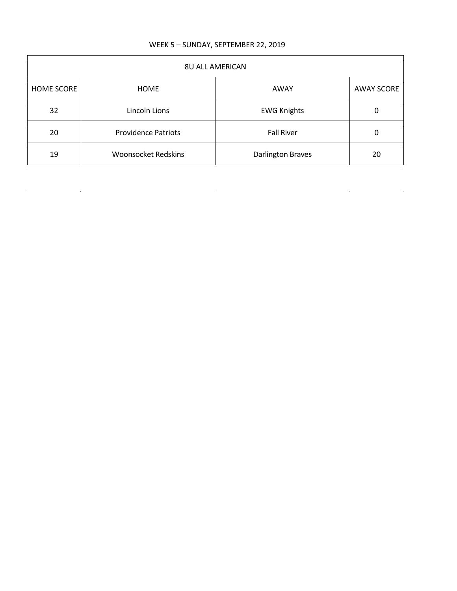## WEEK 5 – SUNDAY, SEPTEMBER 22, 2019

| <b>8U ALL AMERICAN</b> |                            |                          |                   |
|------------------------|----------------------------|--------------------------|-------------------|
| <b>HOME SCORE</b>      | <b>HOME</b>                | AWAY                     | <b>AWAY SCORE</b> |
| 32                     | Lincoln Lions              | <b>EWG Knights</b>       | 0                 |
| 20                     | <b>Providence Patriots</b> | <b>Fall River</b>        | 0                 |
| 19                     | <b>Woonsocket Redskins</b> | <b>Darlington Braves</b> | 20                |
|                        |                            |                          |                   |

 $\mathcal{L}(\mathcal{L}(\mathcal{L}))$  and  $\mathcal{L}(\mathcal{L}(\mathcal{L}))$  . The contribution of  $\mathcal{L}(\mathcal{L})$ 

 $\label{eq:2.1} \frac{1}{\sqrt{2}}\left(\frac{1}{\sqrt{2}}\right)^2\left(\frac{1}{\sqrt{2}}\right)^2\left(\frac{1}{\sqrt{2}}\right)^2\left(\frac{1}{\sqrt{2}}\right)^2\left(\frac{1}{\sqrt{2}}\right)^2\left(\frac{1}{\sqrt{2}}\right)^2\left(\frac{1}{\sqrt{2}}\right)^2\left(\frac{1}{\sqrt{2}}\right)^2\left(\frac{1}{\sqrt{2}}\right)^2\left(\frac{1}{\sqrt{2}}\right)^2\left(\frac{1}{\sqrt{2}}\right)^2\left(\frac{1}{\sqrt{2}}\right)^2\left(\frac{1}{\sqrt$ 

 $\mathcal{L}$ 

 $\label{eq:2.1} \frac{1}{\sqrt{2}}\int_{\mathbb{R}^3}\frac{1}{\sqrt{2}}\left(\frac{1}{\sqrt{2}}\right)^2\left(\frac{1}{\sqrt{2}}\right)^2\left(\frac{1}{\sqrt{2}}\right)^2\left(\frac{1}{\sqrt{2}}\right)^2\left(\frac{1}{\sqrt{2}}\right)^2\left(\frac{1}{\sqrt{2}}\right)^2\left(\frac{1}{\sqrt{2}}\right)^2.$ 

 $\hat{\boldsymbol{\beta}}$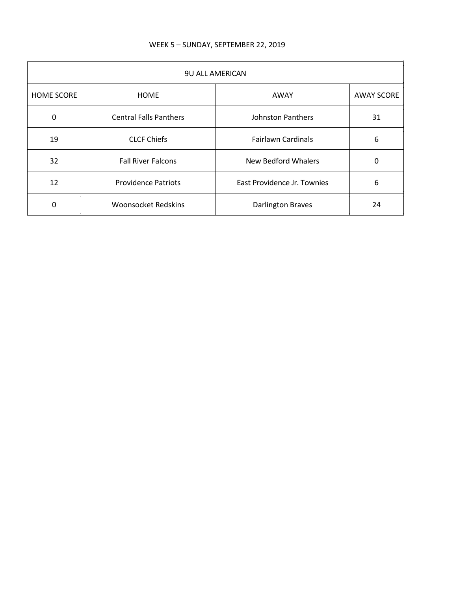$\hat{\boldsymbol{\theta}}$ 

| <b>9U ALL AMERICAN</b> |                               |                             |                   |
|------------------------|-------------------------------|-----------------------------|-------------------|
| <b>HOME SCORE</b>      | <b>HOME</b>                   | AWAY                        | <b>AWAY SCORE</b> |
| $\mathbf{0}$           | <b>Central Falls Panthers</b> | Johnston Panthers           | 31                |
| 19                     | <b>CLCF Chiefs</b>            | <b>Fairlawn Cardinals</b>   | 6                 |
| 32                     | <b>Fall River Falcons</b>     | New Bedford Whalers         | 0                 |
| 12                     | <b>Providence Patriots</b>    | East Providence Jr. Townies | 6                 |
| 0                      | <b>Woonsocket Redskins</b>    | <b>Darlington Braves</b>    | 24                |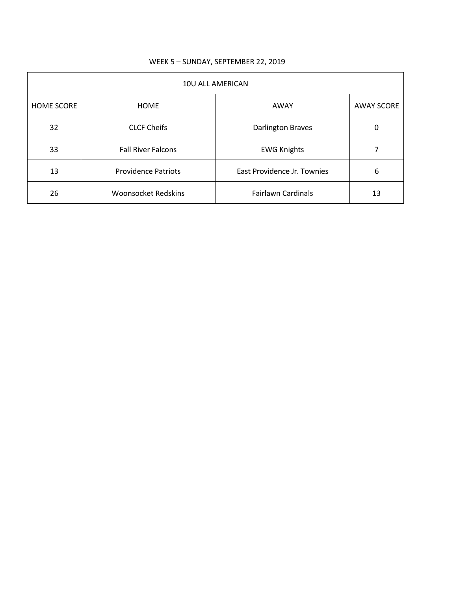| 10U ALL AMERICAN  |                            |                             |                   |
|-------------------|----------------------------|-----------------------------|-------------------|
| <b>HOME SCORE</b> | <b>HOME</b>                | AWAY                        | <b>AWAY SCORE</b> |
| 32                | <b>CLCF Cheifs</b>         | <b>Darlington Braves</b>    | 0                 |
| 33                | <b>Fall River Falcons</b>  | <b>EWG Knights</b>          |                   |
| 13                | <b>Providence Patriots</b> | East Providence Jr. Townies | 6                 |
| 26                | <b>Woonsocket Redskins</b> | <b>Fairlawn Cardinals</b>   | 13                |

## WEEK 5 – SUNDAY, SEPTEMBER 22, 2019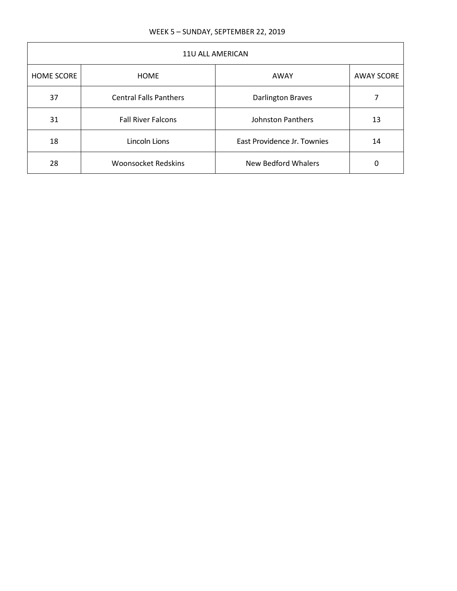| 11U ALL AMERICAN  |                               |                             |                   |
|-------------------|-------------------------------|-----------------------------|-------------------|
| <b>HOME SCORE</b> | <b>HOME</b>                   | AWAY                        | <b>AWAY SCORE</b> |
| 37                | <b>Central Falls Panthers</b> | <b>Darlington Braves</b>    |                   |
| 31                | <b>Fall River Falcons</b>     | Johnston Panthers           | 13                |
| 18                | Lincoln Lions                 | East Providence Jr. Townies | 14                |
| 28                | <b>Woonsocket Redskins</b>    | New Bedford Whalers         | 0                 |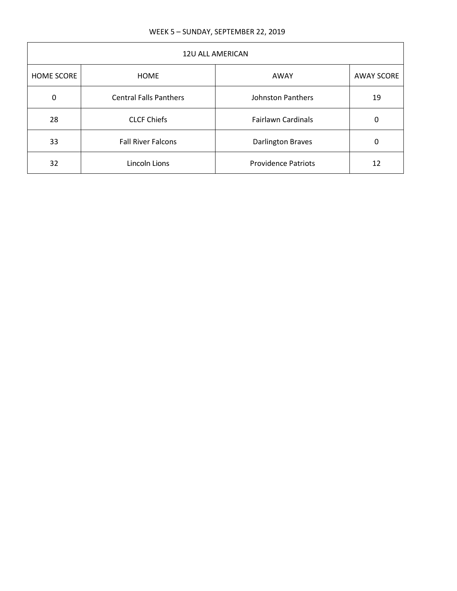| <b>12U ALL AMERICAN</b> |                               |                            |                   |
|-------------------------|-------------------------------|----------------------------|-------------------|
| <b>HOME SCORE</b>       | <b>HOME</b>                   | AWAY                       | <b>AWAY SCORE</b> |
| 0                       | <b>Central Falls Panthers</b> | <b>Johnston Panthers</b>   | 19                |
| 28                      | <b>CLCF Chiefs</b>            | <b>Fairlawn Cardinals</b>  | 0                 |
| 33                      | <b>Fall River Falcons</b>     | <b>Darlington Braves</b>   | 0                 |
| 32                      | Lincoln Lions                 | <b>Providence Patriots</b> | 12                |